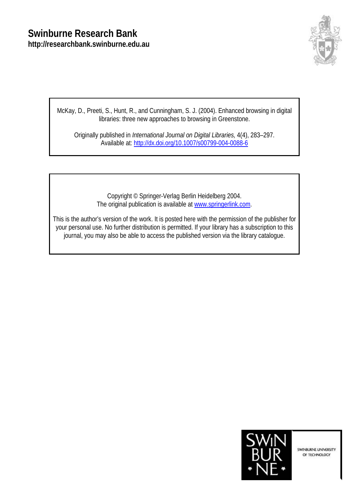

McKay, D., Preeti, S., Hunt, R., and Cunningham, S. J. (2004). Enhanced browsing in digital libraries: three new approaches to browsing in Greenstone.

Originally published in *International Journal on Digital Libraries,* 4(4), 283–297. Available at:<http://dx.doi.org/10.1007/s00799-004-0088-6>

> Copyright © Springer-Verlag Berlin Heidelberg 2004. The original publication is available at www.springerlink.com.

This is the author's version of the work. It is posted here with the permission of the publisher for your personal use. No further distribution is permitted. If your library has a subscription to this journal, you may also be able to access the published version via the library catalogue.



SWINBURNE UNIVERSITY OF TECHNOLOGY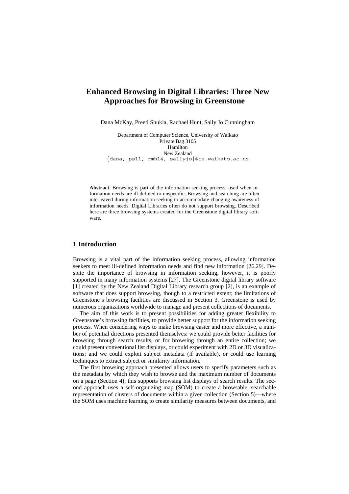# **Enhanced Browsing in Digital Libraries: Three New Approaches for Browsing in Greenstone**

Dana McKay, Preeti Shukla, Rachael Hunt, Sally Jo Cunningham

Department of Computer Science, University of Waikato Private Bag 3105 Hamilton New Zealand {dana, ps11, rmh14, sallyjo}@cs.waikato.ac.nz

**Abstract.** Browsing is part of the information seeking process, used when information needs are ill-defined or unspecific. Browsing and searching are often interleaved during information seeking to accommodate changing awareness of information needs. Digital Libraries often do not support browsing. Described here are three browsing systems created for the Greenstone digital library software.

# **1 Introduction**

Browsing is a vital part of the information seeking process, allowing information seekers to meet ill-defined information needs and find new information [26,29]. Despite the importance of browsing in information seeking, however, it is poorly supported in many information systems [27]. The Greenstone digital library software [1] created by the New Zealand Digital Library research group [2], is an example of software that does support browsing, though to a restricted extent; the limitations of Greenstone's browsing facilities are discussed in Section 3. Greenstone is used by numerous organizations worldwide to manage and present collections of documents.

The aim of this work is to present possibilities for adding greater flexibility to Greenstone's browsing facilities, to provide better support for the information seeking process. When considering ways to make browsing easier and more effective, a number of potential directions presented themselves: we could provide better facilities for browsing through search results, or for browsing through an entire collection; we could present conventional list displays, or could experiment with 2D or 3D visualizations; and we could exploit subject metadata (if available), or could use learning techniques to extract subject or similarity information.

The first browsing approach presented allows users to specify parameters such as the metadata by which they wish to browse and the maximum number of documents on a page (Section 4); this supports browsing list displays of search results. The second approach uses a self-organizing map (SOM) to create a browsable, searchable representation of clusters of documents within a given collection (Section 5)—where the SOM uses machine learning to create similarity measures between documents, and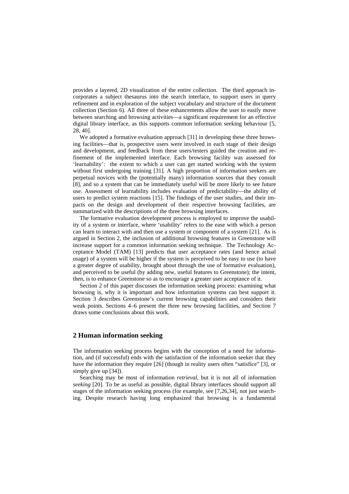provides a layered, 2D visualization of the entire collection. The third approach incorporates a subject thesaurus into the search interface, to support users in query refinement and in exploration of the subject vocabulary and structure of the document collection (Section 6). All three of these enhancements allow the user to easily move between searching and browsing activities—a significant requirement for an effective digital library interface, as this supports common information seeking behaviour [5, 28, 40].

We adopted a formative evaluation approach [31] in developing these three browsing facilities—that is, prospective users were involved in each stage of their design and development, and feedback from these users/testers guided the creation and refinement of the implemented interface. Each browsing facility was assessed for 'learnability': the extent to which a user can get started working with the system without first undergoing training [31]. A high proportion of information seekers are perpetual novices with the (potentially many) information sources that they consult [8], and so a system that can be immediately useful will be more likely to see future use. Assessment of learnability includes evaluation of predictability—the ability of users to predict system reactions [15]. The findings of the user studies, and their impacts on the design and development of their respective browsing facilities, are summarized with the descriptions of the three browsing interfaces.

The formative evaluation development process is employed to improve the usability of a system or interface, where 'usability' refers to the ease with which a person can learn to interact with and then use a system or component of a system [21]. As is argued in Section 2, the inclusion of additional browsing features in Greenstone will increase support for a common information seeking technique. The Technology Acceptance Model (TAM) [13] predicts that user acceptance rates (and hence actual usage) of a system will be higher if the system is perceived to be easy to use (to have a greater degree of usability, brought about through the use of formative evaluation), and perceived to be useful (by adding new, useful features to Greenstone); the intent, then, is to enhance Greenstone so as to encourage a greater user acceptance of it.

Section 2 of this paper discusses the information seeking process: examining what browsing is, why it is important and how information systems can best support it. Section 3 describes Greenstone's current browsing capabilities and considers their weak points. Sections 4–6 present the three new browsing facilities, and Section 7 draws some conclusions about this work.

# **2 Human information seeking**

The information seeking process begins with the conception of a need for information, and (if successful) ends with the satisfaction of the information seeker that they have the information they require [26] (though in reality users often "satisfice" [3], or simply give up [34]).

Searching may be most of information *retrieval*, but it is not all of information *seeking* [20]*.* To be as useful as possible, digital library interfaces should support all stages of the information seeking process (for example, see [7,26,34], not just searching. Despite research having long emphasized that browsing is a fundamental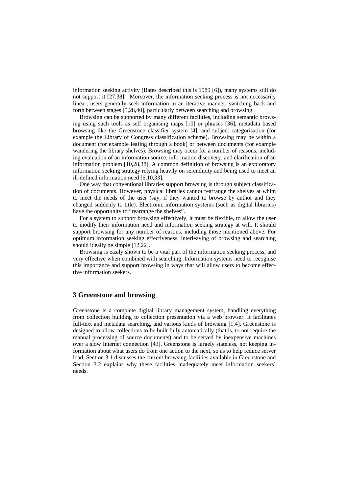information seeking activity (Bates described this is 1989 [6]), many systems still do not support it [27,38]. Moreover, the information seeking process is not necessarily linear; users generally seek information in an iterative manner, switching back and forth between stages [5,28,40], particularly between searching and browsing.

Browsing can be supported by many different facilities, including semantic browsing using such tools as self organising maps [10] or phrases [36], metadata based browsing like the Greenstone classifier system [4], and subject categorisation (for example the Library of Congress classification scheme). Browsing may be within a document (for example leafing through a book) or between documents (for example wandering the library shelves). Browsing may occur for a number of reasons, including evaluation of an information source, information discovery, and clarification of an information problem [10,28,38]. A common definition of browsing is an exploratory information seeking strategy relying heavily on serendipity and being used to meet an ill-defined information need [6,10,33].

One way that conventional libraries support browsing is through subject classification of documents. However, physical libraries cannot rearrange the shelves at whim to meet the needs of the user (say, if they wanted to browse by author and they changed suddenly to title). Electronic information systems (such as digital libraries) have the opportunity to "rearrange the shelves".

For a system to support browsing effectively, it must be flexible, to allow the user to modify their information need and information seeking strategy at will. It should support browsing for any number of reasons, including those mentioned above. For optimum information seeking effectiveness, interleaving of browsing and searching should ideally be simple [12,22].

Browsing is easily shown to be a vital part of the information seeking process, and very effective when combined with searching. Information systems need to recognise this importance and support browsing in ways that will allow users to become effective information seekers.

# **3 Greenstone and browsing**

Greenstone is a complete digital library management system, handling everything from collection building to collection presentation via a web browser. It facilitates full-text and metadata searching, and various kinds of browsing [1,4]. Greenstone is designed to allow collections to be built fully automatically (that is, to not require the manual processing of source documents) and to be served by inexpensive machines over a slow Internet connection [43]. Greenstone is largely stateless, not keeping information about what users do from one action to the next, so as to help reduce server load. Section 3.1 discusses the current browsing facilities available in Greenstone and Section 3.2 explains why these facilities inadequately meet information seekers' needs.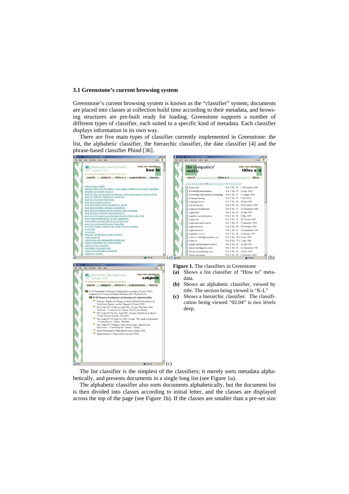### **3.1 Greenstone's current browsing system**

Greenstone's current browsing system is known as the "classifier" system; documents are placed into classes at collection build time according to their metadata, and browsing structures are pre-built ready for loading. Greenstone supports a number of different types of classifier, each suited to a specific kind of metadata. Each classifier displays information in its own way.

There are five main types of classifier currently implemented in Greenstone: the list, the alphabetic classifier, the hierarchic classifier, the date classifier [4] and the phrase-based classifier Phind [36].



The list classifier is the simplest of the classifiers; it merely sorts metadata alphabetically, and presents documents in a single long list (see Figure 1a).

 $\parallel$  (c)

The alphabetic classifier also sorts documents alphabetically, but the document list is then divided into classes according to initial letter, and the classes are displayed across the top of the page (see Figure 1b). If the classes are smaller than a pre-set size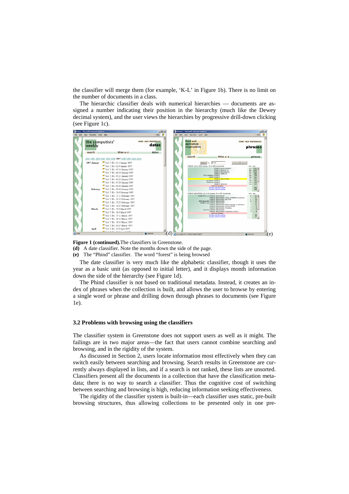the classifier will merge them (for example, 'K-L' in Figure 1b). There is no limit on the number of documents in a class.

The hierarchic classifier deals with numerical hierarchies — documents are assigned a number indicating their position in the hierarchy (much like the Dewey decimal system), and the user views the hierarchies by progressive drill-down clicking (see Figure 1c).

| <b>Dates - Microsoft Internet Explorer</b>                                                                                                                                                                                                                                                                                                                | $\Box$                         | Phrases - Microsoft Internet Explorer                                                                                                                                                                                                                                                                                                                                                                                               | $\Box$                                                                                                                                                                                              |
|-----------------------------------------------------------------------------------------------------------------------------------------------------------------------------------------------------------------------------------------------------------------------------------------------------------------------------------------------------------|--------------------------------|-------------------------------------------------------------------------------------------------------------------------------------------------------------------------------------------------------------------------------------------------------------------------------------------------------------------------------------------------------------------------------------------------------------------------------------|-----------------------------------------------------------------------------------------------------------------------------------------------------------------------------------------------------|
| View Favorites Tools Help<br>Edit                                                                                                                                                                                                                                                                                                                         | <b>Links</b>                   | Yew Favorites Tools Help<br>File<br>Edit                                                                                                                                                                                                                                                                                                                                                                                            | <b>Links</b>                                                                                                                                                                                        |
| the computists'<br>weekly                                                                                                                                                                                                                                                                                                                                 | HOME HELP PREFERENCES<br>dates | food and<br>agriculture<br>organization                                                                                                                                                                                                                                                                                                                                                                                             | HOME HELP PREFERENCES<br>phrases                                                                                                                                                                    |
| titles a-z<br>search                                                                                                                                                                                                                                                                                                                                      | dates                          |                                                                                                                                                                                                                                                                                                                                                                                                                                     |                                                                                                                                                                                                     |
| 1991 1992 1993 1994 1995 1996 1997 1998 1999 2000-2001                                                                                                                                                                                                                                                                                                    |                                | titles a-z<br>search                                                                                                                                                                                                                                                                                                                                                                                                                | phrases                                                                                                                                                                                             |
| 1997 January<br>Vol. 7: No. 01 1 January 1997                                                                                                                                                                                                                                                                                                             |                                | Previous Next<br>Search for Pirest                                                                                                                                                                                                                                                                                                                                                                                                  |                                                                                                                                                                                                     |
| Vol. 7: No. 02 9 January 1997<br>Vol. 7: No. 03 14 January 1997<br>Vol. 7: No. 04 16 January 1997<br>Vol. 7: No. 05 21 January 1997<br>Vol. 7: No. 06 23 January 1997<br>Vol. 7: No. 07 28 January 1997<br>Vol. 7: No. 08 30 January 1997<br>February Vol. 7: No. 09 4 February 1997<br>Vol. 7: No. 10 6 February 1997<br>Vol. 7: No. 11 11 February 1997 |                                | FOREST (10 of 1032 phrases, 10 of 1943 documents)<br>FOREST MANAGEMENT<br>FOREST PRODUCTS<br>FOREST RESOURCES<br>FOREST GENETIC<br><b>SUSTAINABLE FOREST</b><br>WOOD FOREST<br>FOREST INDUSTRIES<br>NATIONAL FOREST<br>TROPICAL FOREST<br>FOREST SERVICE<br>get more phrases<br>FO-edu List of Countries<br>FO-adu List of Countries<br>FOREST INDUSTRIES (10 of 32 phrases, 10 of 151 documents)<br>FORESTRY and FOREST INDUSTRIES | door free.<br>519 2162 4<br>6M<br>1058<br>632<br>1328<br>177<br>$0-12$<br>258<br>236<br>160<br>602<br>151<br>443<br>443<br>146<br>174<br>4001<br>119<br>321<br>363<br>344<br>doos freq.<br>36<br>67 |
| Vol. 7: No. 12 13 February 1997<br>Vol. 7: No. 13 25 February 1997<br>Vol. 7: No. 14 27 February 1997<br>Vol. 7: No. 15 4 March 1997<br>March<br>Vol. 7: No. 16 6 March 1997                                                                                                                                                                              |                                | FOREST INDUSTRIES TOTAL NUMBER of ledures<br>FOREST INDUSTRIES SECTOR<br>NEW ZEALAND FOREST INDUSTRIES<br>FOREST and FOREST INDUSTRIES<br>FOREST INDUSTRIES MAIN language of instruction<br>FOREST INDUSTRIES ASSOCIATION<br>FOREST INDUSTRIES TRAINING<br>PACIFIC FOREST INDUSTRIES<br>FOREST INDUSTRIES STRATEGY STUDY<br>get more phrases.                                                                                       | $30^{\circ}$<br>$\sim$<br>14<br>11<br>10<br>13<br>$+1$<br>$\blacksquare$<br>10<br>$\bullet$<br>$\mathbf{r}$<br>20<br>$\sim$                                                                         |
| Vol. 7: No. 17 11 March 1997<br>Vol. 7: No. 18 13 March 1997<br>Vol. 7: No. 19 25 March 1997<br>Vol. 7: No. 20 27 March 1997<br>Vol. 7: No. 21 8 April 1997<br>April                                                                                                                                                                                      |                                | FO-edu List of Countries<br>FO-edu List of Countries                                                                                                                                                                                                                                                                                                                                                                                | 40<br>37                                                                                                                                                                                            |
| (c) Done                                                                                                                                                                                                                                                                                                                                                  | đ<br><b>D</b> Internet         | 22 results for "FOREST INDUSTRIES"                                                                                                                                                                                                                                                                                                                                                                                                  | <b>D</b> Internet                                                                                                                                                                                   |

**Figure 1 (continued).**The classifiers in Greenstone.

**(d)** A date classifier. Note the months down the side of the page.

**(e)** The "Phind" classifier. The word "forest" is being browsed

The date classifier is very much like the alphabetic classifier, though it uses the year as a basic unit (as opposed to initial letter), and it displays month information down the side of the hierarchy (see Figure 1d).

The Phind classifier is not based on traditional metadata. Instead, it creates an index of phrases when the collection is built, and allows the user to browse by entering a single word or phrase and drilling down through phrases to documents (see Figure 1e).

### **3.2 Problems with browsing using the classifiers**

The classifier system in Greenstone does not support users as well as it might. The failings are in two major areas—the fact that users cannot combine searching and browsing, and in the rigidity of the system.

As discussed in Section 2, users locate information most effectively when they can switch easily between searching and browsing. Search results in Greenstone are currently always displayed in lists, and if a search is not ranked, these lists are unsorted. Classifiers present all the documents in a collection that have the classification metadata; there is no way to search a classifier. Thus the cognitive cost of switching between searching and browsing is high, reducing information seeking effectiveness.

The rigidity of the classifier system is built-in—each classifier uses static, pre-built browsing structures, thus allowing collections to be presented only in one pre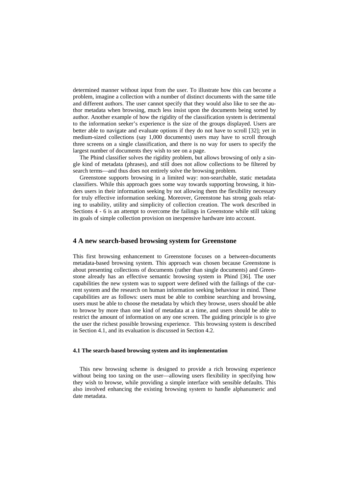determined manner without input from the user. To illustrate how this can become a problem, imagine a collection with a number of distinct documents with the same title and different authors. The user cannot specify that they would also like to see the author metadata when browsing, much less insist upon the documents being sorted by author. Another example of how the rigidity of the classification system is detrimental to the information seeker's experience is the size of the groups displayed. Users are better able to navigate and evaluate options if they do not have to scroll [32]; yet in medium-sized collections (say 1,000 documents) users may have to scroll through three screens on a single classification, and there is no way for users to specify the largest number of documents they wish to see on a page.

The Phind classifier solves the rigidity problem, but allows browsing of only a single kind of metadata (phrases), and still does not allow collections to be filtered by search terms—and thus does not entirely solve the browsing problem.

Greenstone supports browsing in a limited way: non-searchable, static metadata classifiers. While this approach goes some way towards supporting browsing, it hinders users in their information seeking by not allowing them the flexibility necessary for truly effective information seeking. Moreover, Greenstone has strong goals relating to usability, utility and simplicity of collection creation. The work described in Sections 4 - 6 is an attempt to overcome the failings in Greenstone while still taking its goals of simple collection provision on inexpensive hardware into account.

# **4 A new search-based browsing system for Greenstone**

This first browsing enhancement to Greenstone focuses on a between-documents metadata-based browsing system. This approach was chosen because Greenstone is about presenting collections of documents (rather than single documents) and Greenstone already has an effective semantic browsing system in Phind [36]. The user capabilities the new system was to support were defined with the failings of the current system and the research on human information seeking behaviour in mind. These capabilities are as follows: users must be able to combine searching and browsing, users must be able to choose the metadata by which they browse, users should be able to browse by more than one kind of metadata at a time, and users should be able to restrict the amount of information on any one screen. The guiding principle is to give the user the richest possible browsing experience. This browsing system is described in Section 4.1, and its evaluation is discussed in Section 4.2.

### **4.1 The search-based browsing system and its implementation**

This new browsing scheme is designed to provide a rich browsing experience without being too taxing on the user—allowing users flexibility in specifying how they wish to browse, while providing a simple interface with sensible defaults. This also involved enhancing the existing browsing system to handle alphanumeric and date metadata.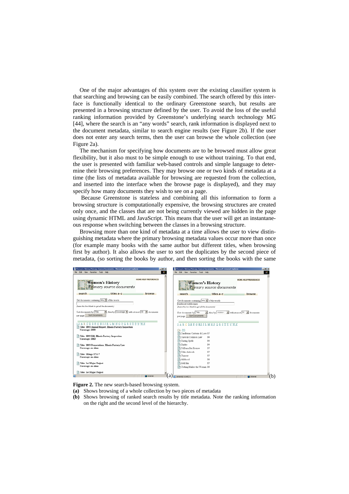One of the major advantages of this system over the existing classifier system is that searching and browsing can be easily combined. The search offered by this interface is functionally identical to the ordinary Greenstone search, but results are presented in a browsing structure defined by the user. To avoid the loss of the useful ranking information provided by Greenstone's underlying search technology MG [44], where the search is an "any words" search, rank information is displayed next to the document metadata, similar to search engine results (see Figure 2b). If the user does not enter any search terms, then the user can browse the whole collection (see Figure 2a).

The mechanism for specifying how documents are to be browsed must allow great flexibility, but it also must to be simple enough to use without training. To that end, the user is presented with familiar web-based controls and simple language to determine their browsing preferences. They may browse one or two kinds of metadata at a time (the lists of metadata available for browsing are requested from the collection, and inserted into the interface when the browse page is displayed), and they may specify how many documents they wish to see on a page.

 Because Greenstone is stateless and combining all this information to form a browsing structure is computationally expensive, the browsing structures are created only once, and the classes that are not being currently viewed are hidden in the page using dynamic HTML and JavaScript. This means that the user will get an instantaneous response when switching between the classes in a browsing structure.

Browsing more than one kind of metadata at a time allows the user to view distinguishing metadata where the primary browsing metadata values occur more than once (for example many books with the same author but different titles, when browsing first by author). It also allows the user to sort the duplicates by the second piece of metadata, (so sorting the books by author, and then sorting the books with the same

| Women's History Primary Source Documents - Microsoft Internet Explorer<br>$-10x$                                                                                                                        | Women's History Primary Source Documents - Microsoft Internet Explorer<br>$-10x$                                                                                                                                                                                                                      |
|---------------------------------------------------------------------------------------------------------------------------------------------------------------------------------------------------------|-------------------------------------------------------------------------------------------------------------------------------------------------------------------------------------------------------------------------------------------------------------------------------------------------------|
| File Edit View Favorites Tools Help<br>D.                                                                                                                                                               | File Edit View Favorites Tools Help                                                                                                                                                                                                                                                                   |
| <b>HOME HELP PREFERENCES</b><br><b>Women's History</b><br>Primary source documents                                                                                                                      | HOME HELP PREFERENCES<br><b>Women's History</b><br>Primary source documents                                                                                                                                                                                                                           |
| titles $a-z$<br>browse<br>search                                                                                                                                                                        | titles a-z<br>browse<br>search                                                                                                                                                                                                                                                                        |
| Get documents containing any E of the words<br>(leave this box blank to get all the documents)<br>. then by Coverage with at most 20 documents<br>Sort documents by Title<br>Sort Documents<br>per page | Get documents containing   any   of the words<br>medieval middle ages<br>(leave this box blank to get all the documents)<br>$\overline{B}$ , then by $\overline{-none}$ $\overline{B}$ with at most $\overline{10}$ $\overline{B}$ documents<br>Sort documents by Title<br>Sort Documents<br>per page |
| ABCDEFGHIJKLMNOPORSTUVW-Y<br>Title: 1893 Annual Report, Illinois Factory Inspectors<br>Coverage: 1893                                                                                                   | <b>IABCDEFGHIJLMNPQRSTUVWY</b><br>CA CO<br><sup>2</sup> Candlemas Customs & Lore 87                                                                                                                                                                                                                   |
| Title: 1893 Bill, Illinois Factory Inspection<br>Coverage: 1860                                                                                                                                         | <b><i>Cases</i></b> in Common Law<br>84<br><b>R</b> Casting Spells<br>9d                                                                                                                                                                                                                              |
| Title: 1893 Prosecutions, Illinois Factory Law<br>Coverage: no data                                                                                                                                     | <b>Ed</b> Castles<br>84<br>CelDara Site Review<br>97                                                                                                                                                                                                                                                  |
| Title: 1Kings 17:1-7<br>Coverage: no data                                                                                                                                                               | <sup>n</sup> Celtic Artwork<br>87<br><b>Chaucer</b><br>97<br>chidhood<br>$^{24}$                                                                                                                                                                                                                      |
| Title: 1st Major Project<br>Coverage: no data                                                                                                                                                           | 87<br>cloth htm<br>Clothing Makes the Woman 84                                                                                                                                                                                                                                                        |
| Title: 1st Major Project<br><b>D</b> Internet                                                                                                                                                           | (b)<br>a) a javascript:ccont(11)<br><b>D</b> Internet                                                                                                                                                                                                                                                 |

**Figure 2.** The new search-based browsing system.

- **(a)** Shows browsing of a whole collection by two pieces of metadata
- **(b)** Shows browsing of ranked search results by title metadata. Note the ranking information on the right and the second level of the hierarchy.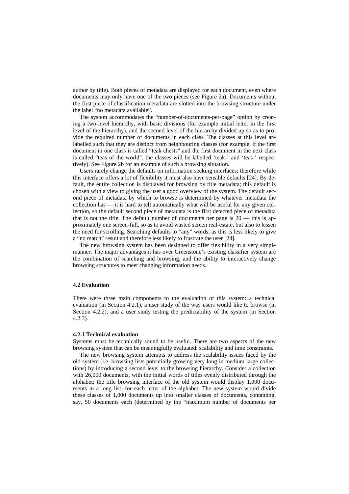author by title). Both pieces of metadata are displayed for each document, even where documents may only have one of the two pieces (see Figure 2a). Documents without the first piece of classification metadata are slotted into the browsing structure under the label "no metadata available".

The system accommodates the "number-of-documents-per-page" option by creating a two-level hierarchy, with basic divisions (for example initial letter in the first level of the hierarchy), and the second level of the hierarchy divided up so as to provide the required number of documents in each class. The classes at this level are labelled such that they are distinct from neighbouring classes (for example, if the first document in one class is called "teak chests" and the first document in the next class is called "teas of the world", the classes will be labelled 'teak-' and 'teas-' respectively). See Figure 2b for an example of such a browsing situation.

Users rarely change the defaults on information seeking interfaces; therefore while this interface offers a lot of flexibility it must also have sensible defaults [24]. By default, the entire collection is displayed for browsing by title metadata; this default is chosen with a view to giving the user a good overview of the system. The default second piece of metadata by which to browse is determined by whatever metadata the collection has — it is hard to tell automatically what will be useful for any given collection, so the default second piece of metadata is the first detected piece of metadata that is not the title. The default number of documents per page is  $20$  — this is approximately one screen-full, so as to avoid wasted screen real-estate, but also to lessen the need for scrolling. Searching defaults to "any" words, as this is less likely to give a "no match" result and therefore less likely to frustrate the user [24].

The new browsing system has been designed to offer flexibility in a very simple manner. The major advantages it has over Greenstone's existing classifier system are the combination of searching and browsing, and the ability to interactively change browsing structures to meet changing information needs.

### **4.2 Evaluation**

There were three main components to the evaluation of this system: a technical evaluation (in Section 4.2.1), a user study of the way users would like to browse (in Section 4.2.2), and a user study testing the predictability of the system (in Section 4.2.3).

#### **4.2.1 Technical evaluation**

Systems must be technically sound to be useful. There are two aspects of the new browsing system that can be meaningfully evaluated: scalability and time constraints.

The new browsing system attempts to address the scalability issues faced by the old system (i.e. browsing lists potentially growing very long in medium large collections) by introducing a second level to the browsing hierarchy. Consider a collection with 26,000 documents, with the initial words of titles evenly distributed through the alphabet; the title browsing interface of the old system would display 1,000 documents in a long list, for each letter of the alphabet. The new system would divide these classes of 1,000 documents up into smaller classes of documents, containing, say, 50 documents each (determined by the "maximum number of documents per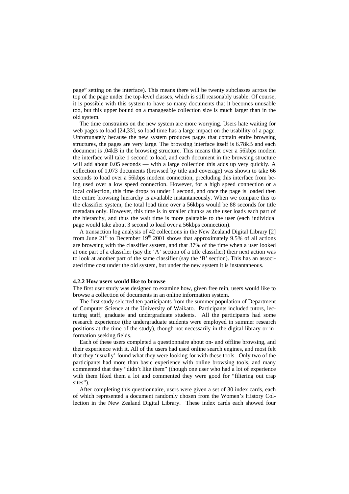page" setting on the interface). This means there will be twenty subclasses across the top of the page under the top-level classes, which is still reasonably usable. Of course, it is possible with this system to have so many documents that it becomes unusable too, but this upper bound on a manageable collection size is much larger than in the old system.

The time constraints on the new system are more worrying. Users hate waiting for web pages to load [24,33], so load time has a large impact on the usability of a page. Unfortunately because the new system produces pages that contain entire browsing structures, the pages are very large. The browsing interface itself is 6.78kB and each document is .04kB in the browsing structure. This means that over a 56kbps modem the interface will take 1 second to load, and each document in the browsing structure will add about 0.05 seconds — with a large collection this adds up very quickly. A collection of 1,073 documents (browsed by title and coverage) was shown to take 66 seconds to load over a 56kbps modem connection, precluding this interface from being used over a low speed connection. However, for a high speed connection or a local collection, this time drops to under 1 second, and once the page is loaded then the entire browsing hierarchy is available instantaneously. When we compare this to the classifier system, the total load time over a 56kbps would be 88 seconds for title metadata only. However, this time is in smaller chunks as the user loads each part of the hierarchy, and thus the wait time is more palatable to the user (each individual page would take about 3 second to load over a 56kbps connection).

A transaction log analysis of 42 collections in the New Zealand Digital Library [2] from June  $21<sup>st</sup>$  to December  $19<sup>th</sup>$  2001 shows that approximately 9.5% of all actions are browsing with the classifier system, and that 37% of the time when a user looked at one part of a classifier (say the 'A' section of a title classifier) their next action was to look at another part of the same classifier (say the 'B' section). This has an associated time cost under the old system, but under the new system it is instantaneous.

#### **4.2.2 How users would like to browse**

The first user study was designed to examine how, given free rein, users would like to browse a collection of documents in an online information system.

The first study selected ten participants from the summer population of Department of Computer Science at the University of Waikato. Participants included tutors, lecturing staff, graduate and undergraduate students. All the participants had some research experience (the undergraduate students were employed in summer research positions at the time of the study), though not necessarily in the digital library or information seeking fields.

Each of these users completed a questionnaire about on- and offline browsing, and their experience with it. All of the users had used online search engines, and most felt that they 'usually' found what they were looking for with these tools. Only two of the participants had more than basic experience with online browsing tools, and many commented that they "didn't like them" (though one user who had a lot of experience with them liked them a lot and commented they were good for "filtering out crap sites").

After completing this questionnaire, users were given a set of 30 index cards, each of which represented a document randomly chosen from the Women's History Collection in the New Zealand Digital Library. These index cards each showed four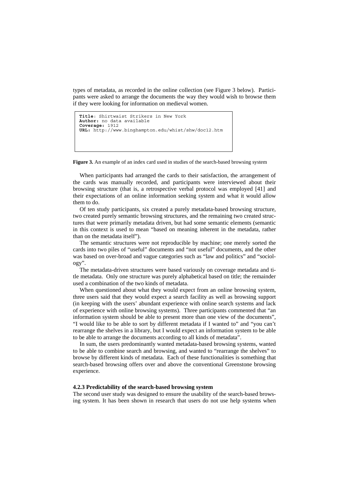types of metadata, as recorded in the online collection (see Figure 3 below). Participants were asked to arrange the documents the way they would wish to browse them if they were looking for information on medieval women.

```
Title: Shirtwaist Strikers in New York 
Author: no data available 
Coverage: 1912 
URL: http://www.binghampton.edu/whist/shw/doc12.htm
```
**Figure 3.** An example of an index card used in studies of the search-based browsing system

When participants had arranged the cards to their satisfaction, the arrangement of the cards was manually recorded, and participants were interviewed about their browsing structure (that is, a retrospective verbal protocol was employed [41] and their expectations of an online information seeking system and what it would allow them to do.

Of ten study participants, six created a purely metadata-based browsing structure, two created purely semantic browsing structures, and the remaining two created structures that were primarily metadata driven, but had some semantic elements (semantic in this context is used to mean "based on meaning inherent in the metadata, rather than on the metadata itself").

The semantic structures were not reproducible by machine; one merely sorted the cards into two piles of "useful" documents and "not useful" documents, and the other was based on over-broad and vague categories such as "law and politics" and "sociology".

The metadata-driven structures were based variously on coverage metadata and title metadata. Only one structure was purely alphabetical based on title; the remainder used a combination of the two kinds of metadata.

When questioned about what they would expect from an online browsing system, three users said that they would expect a search facility as well as browsing support (in keeping with the users' abundant experience with online search systems and lack of experience with online browsing systems). Three participants commented that "an information system should be able to present more than one view of the documents", "I would like to be able to sort by different metadata if I wanted to" and "you can't rearrange the shelves in a library, but I would expect an information system to be able to be able to arrange the documents according to all kinds of metadata".

In sum, the users predominantly wanted metadata-based browsing systems, wanted to be able to combine search and browsing, and wanted to "rearrange the shelves" to browse by different kinds of metadata. Each of these functionalities is something that search-based browsing offers over and above the conventional Greenstone browsing experience.

### **4.2.3 Predictability of the search-based browsing system**

The second user study was designed to ensure the usability of the search-based browsing system. It has been shown in research that users do not use help systems when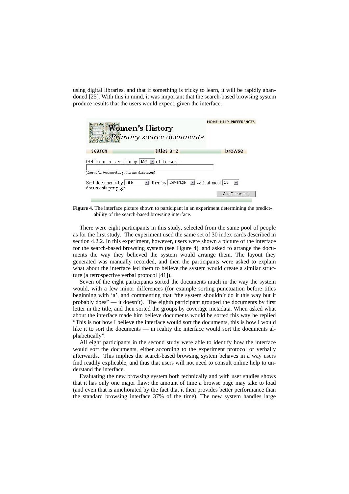using digital libraries, and that if something is tricky to learn, it will be rapidly abandoned [25]. With this in mind, it was important that the search-based browsing system produce results that the users would expect, given the interface.

|                                                 | <b>Women's History</b><br>Primary source documents        | <b>HOME HELP PREFERENCES</b> |
|-------------------------------------------------|-----------------------------------------------------------|------------------------------|
| search                                          | titles a-z                                                | browse                       |
|                                                 | Get documents containing $\vert$ any $\vert$ of the words |                              |
| (leave this box blank to get all the documents) |                                                           |                              |
| Sort documents by Title<br>documents per page   | I, then by Coverage I with at most 20                     |                              |
|                                                 |                                                           | <b>Sort Documents</b>        |

**Figure 4**. The interface picture shown to participant in an experiment determining the predictability of the search-based browsing interface.

There were eight participants in this study, selected from the same pool of people as for the first study. The experiment used the same set of 30 index cards described in section 4.2.2. In this experiment, however, users were shown a picture of the interface for the search-based browsing system (see Figure 4), and asked to arrange the documents the way they believed the system would arrange them. The layout they generated was manually recorded, and then the participants were asked to explain what about the interface led them to believe the system would create a similar structure (a retrospective verbal protocol [41]).

Seven of the eight participants sorted the documents much in the way the system would, with a few minor differences (for example sorting punctuation before titles beginning with 'a', and commenting that "the system shouldn't do it this way but it probably does" — it doesn't). The eighth participant grouped the documents by first letter in the title, and then sorted the groups by coverage metadata. When asked what about the interface made him believe documents would be sorted this way he replied "This is not how I believe the interface would sort the documents, this is how I would like it to sort the documents — in reality the interface would sort the documents alphabetically".

All eight participants in the second study were able to identify how the interface would sort the documents, either according to the experiment protocol or verbally afterwards. This implies the search-based browsing system behaves in a way users find readily explicable, and thus that users will not need to consult online help to understand the interface.

Evaluating the new browsing system both technically and with user studies shows that it has only one major flaw: the amount of time a browse page may take to load (and even that is ameliorated by the fact that it then provides better performance than the standard browsing interface 37% of the time). The new system handles large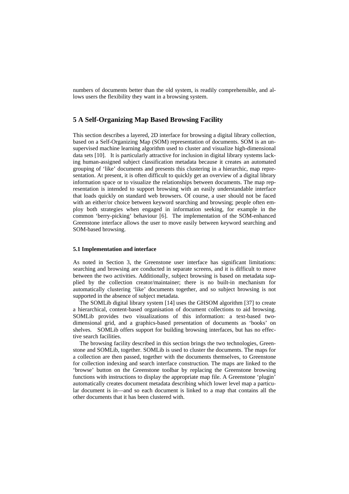numbers of documents better than the old system, is readily comprehensible, and allows users the flexibility they want in a browsing system.

# **5 A Self-Organizing Map Based Browsing Facility**

This section describes a layered, 2D interface for browsing a digital library collection, based on a Self-Organizing Map (SOM) representation of documents. SOM is an unsupervised machine learning algorithm used to cluster and visualize high-dimensional data sets [10]. It is particularly attractive for inclusion in digital library systems lacking human-assigned subject classification metadata because it creates an automated grouping of 'like' documents and presents this clustering in a hierarchic, map representation. At present, it is often difficult to quickly get an overview of a digital library information space or to visualize the relationships between documents. The map representation is intended to support browsing with an easily understandable interface that loads quickly on standard web browsers. Of course, a user should not be faced with an either/or choice between keyword searching and browsing; people often employ both strategies when engaged in information seeking, for example in the common 'berry-picking' behaviour [6]. The implementation of the SOM-enhanced Greenstone interface allows the user to move easily between keyword searching and SOM-based browsing.

# **5.1 Implementation and interface**

As noted in Section 3, the Greenstone user interface has significant limitations: searching and browsing are conducted in separate screens, and it is difficult to move between the two activities. Additionally, subject browsing is based on metadata supplied by the collection creator/maintainer; there is no built-in mechanism for automatically clustering 'like' documents together, and so subject browsing is not supported in the absence of subject metadata.

The SOMLib digital library system [14] uses the GHSOM algorithm [37] to create a hierarchical, content-based organisation of document collections to aid browsing. SOMLib provides two visualizations of this information: a text-based twodimensional grid, and a graphics-based presentation of documents as 'books' on shelves. SOMLib offers support for building browsing interfaces, but has no effective search facilities.

The browsing facility described in this section brings the two technologies, Greenstone and SOMLib, together. SOMLib is used to cluster the documents. The maps for a collection are then passed, together with the documents themselves, to Greenstone for collection indexing and search interface construction. The maps are linked to the 'browse' button on the Greenstone toolbar by replacing the Greenstone browsing functions with instructions to display the appropriate map file. A Greenstone 'plugin' automatically creates document metadata describing which lower level map a particular document is in—and so each document is linked to a map that contains all the other documents that it has been clustered with.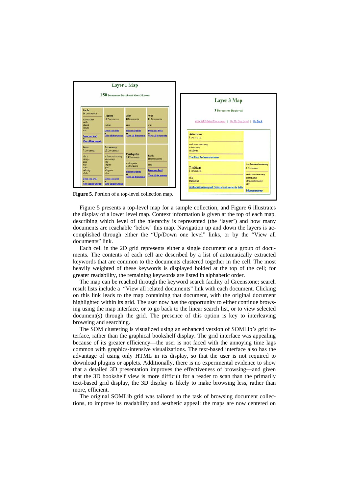

Figure 5 presents a top-level map for a sample collection, and Figure 6 illustrates the display of a lower level map. Context information is given at the top of each map, describing which level of the hierarchy is represented (the 'layer') and how many documents are reachable 'below' this map. Navigation up and down the layers is accomplished through either the "Up/Down one level" links, or by the "View all documents" link.

Each cell in the 2D grid represents either a single document or a group of documents. The contents of each cell are described by a list of automatically extracted keywords that are common to the documents clustered together in the cell. The most heavily weighted of these keywords is displayed bolded at the top of the cell; for greater readability, the remaining keywords are listed in alphabetic order.

The map can be reached through the keyword search facility of Greenstone; search result lists include a "View all related documents" link with each document. Clicking on this link leads to the map containing that document, with the original document highlighted within its grid. The user now has the opportunity to either continue browsing using the map interface, or to go back to the linear search list, or to view selected document(s) through the grid. The presence of this option is key to interleaving browsing and searching.

The SOM clustering is visualized using an enhanced version of SOMLib's grid interface, rather than the graphical bookshelf display. The grid interface was appealing because of its greater efficiency—the user is not faced with the annoying time lags common with graphics-intensive visualizations. The text-based interface also has the advantage of using only HTML in its display, so that the user is not required to download plugins or applets. Additionally, there is no experimental evidence to show that a detailed 3D presentation improves the effectiveness of browsing—and given that the 3D bookshelf view is more difficult for a reader to scan than the primarily text-based grid display, the 3D display is likely to make browsing less, rather than more, efficient.

The original SOMLib grid was tailored to the task of browsing document collections, to improve its readability and aesthetic appeal: the maps are now centered on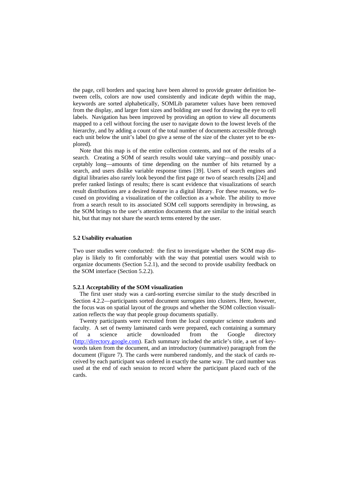the page, cell borders and spacing have been altered to provide greater definition between cells, colors are now used consistently and indicate depth within the map, keywords are sorted alphabetically, SOMLib parameter values have been removed from the display, and larger font sizes and bolding are used for drawing the eye to cell labels. Navigation has been improved by providing an option to view all documents mapped to a cell without forcing the user to navigate down to the lowest levels of the hierarchy, and by adding a count of the total number of documents accessible through each unit below the unit's label (to give a sense of the size of the cluster yet to be explored).

Note that this map is of the entire collection contents, and not of the results of a search. Creating a SOM of search results would take varying—and possibly unacceptably long—amounts of time depending on the number of hits returned by a search, and users dislike variable response times [39]. Users of search engines and digital libraries also rarely look beyond the first page or two of search results [24] and prefer ranked listings of results; there is scant evidence that visualizations of search result distributions are a desired feature in a digital library. For these reasons, we focused on providing a visualization of the collection as a whole. The ability to move from a search result to its associated SOM cell supports serendipity in browsing, as the SOM brings to the user's attention documents that are similar to the initial search hit, but that may not share the search terms entered by the user.

#### **5.2 Usability evaluation**

Two user studies were conducted: the first to investigate whether the SOM map display is likely to fit comfortably with the way that potential users would wish to organize documents (Section 5.2.1), and the second to provide usability feedback on the SOM interface (Section 5.2.2).

#### **5.2.1 Acceptability of the SOM visualization**

The first user study was a card-sorting exercise similar to the study described in Section 4.2.2—participants sorted document surrogates into clusters. Here, however, the focus was on spatial layout of the groups and whether the SOM collection visualization reflects the way that people group documents spatially.

Twenty participants were recruited from the local computer science students and faculty. A set of twenty laminated cards were prepared, each containing a summary of a science article downloaded from the Google directory ([http://directory.google.com](http://dirctory.google.com/)). Each summary included the article's title, a set of keywords taken from the document, and an introductory (summative) paragraph from the document (Figure 7). The cards were numbered randomly, and the stack of cards received by each participant was ordered in exactly the same way. The card number was used at the end of each session to record where the participant placed each of the cards.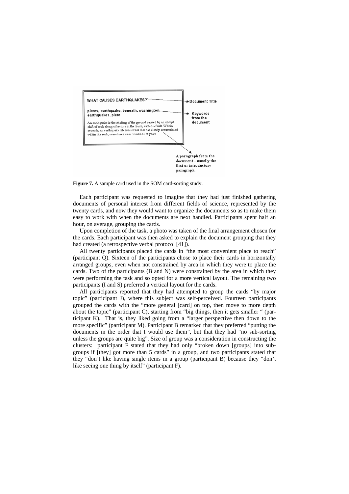

**Figure 7.** A sample card used in the SOM card-sorting study.

Each participant was requested to imagine that they had just finished gathering documents of personal interest from different fields of science, represented by the twenty cards, and now they would want to organize the documents so as to make them easy to work with when the documents are next handled. Participants spent half an hour, on average, grouping the cards.

Upon completion of the task, a photo was taken of the final arrangement chosen for the cards. Each participant was then asked to explain the document grouping that they had created (a retrospective verbal protocol [41]).

All twenty participants placed the cards in "the most convenient place to reach" (participant Q). Sixteen of the participants chose to place their cards in horizontally arranged groups, even when not constrained by area in which they were to place the cards. Two of the participants (B and N) were constrained by the area in which they were performing the task and so opted for a more vertical layout. The remaining two participants (I and S) preferred a vertical layout for the cards.

All participants reported that they had attempted to group the cards "by major topic" (participant J), where this subject was self-perceived. Fourteen participants grouped the cards with the "more general [card] on top, then move to more depth about the topic" (participant C), starting from "big things, then it gets smaller " (participant K). That is, they liked going from a "larger perspective then down to the more specific" (participant M). Participant B remarked that they preferred "putting the documents in the order that I would use them", but that they had "no sub-sorting unless the groups are quite big". Size of group was a consideration in constructing the clusters: participant F stated that they had only "broken down [groups] into subgroups if [they] got more than 5 cards" in a group, and two participants stated that they "don't like having single items in a group (participant B) because they "don't like seeing one thing by itself" (participant F).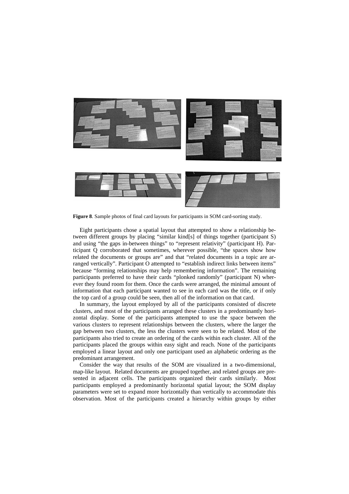

**Figure 8**. Sample photos of final card layouts for participants in SOM card-sorting study.

Eight participants chose a spatial layout that attempted to show a relationship between different groups by placing "similar kind[s] of things together (participant S) and using "the gaps in-between things" to "represent relativity" (participant H). Participant Q corroborated that sometimes, wherever possible, "the spaces show how related the documents or groups are" and that "related documents in a topic are arranged vertically". Participant O attempted to "establish indirect links between items" because "forming relationships may help remembering information". The remaining participants preferred to have their cards "plonked randomly" (participant N) wherever they found room for them. Once the cards were arranged, the minimal amount of information that each participant wanted to see in each card was the title, or if only the top card of a group could be seen, then all of the information on that card.

In summary, the layout employed by all of the participants consisted of discrete clusters, and most of the participants arranged these clusters in a predominantly horizontal display. Some of the participants attempted to use the space between the various clusters to represent relationships between the clusters, where the larger the gap between two clusters, the less the clusters were seen to be related. Most of the participants also tried to create an ordering of the cards within each cluster. All of the participants placed the groups within easy sight and reach. None of the participants employed a linear layout and only one participant used an alphabetic ordering as the predominant arrangement.

Consider the way that results of the SOM are visualized in a two-dimensional, map-like layout. Related documents are grouped together, and related groups are presented in adjacent cells. The participants organized their cards similarly. Most participants employed a predominantly horizontal spatial layout; the SOM display parameters were set to expand more horizontally than vertically to accommodate this observation. Most of the participants created a hierarchy within groups by either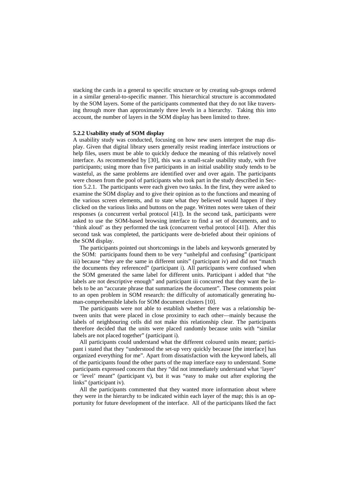stacking the cards in a general to specific structure or by creating sub-groups ordered in a similar general-to-specific manner. This hierarchical structure is accommodated by the SOM layers. Some of the participants commented that they do not like traversing through more than approximately three levels in a hierarchy. Taking this into account, the number of layers in the SOM display has been limited to three.

#### **5.2.2 Usability study of SOM display**

A usability study was conducted, focusing on how new users interpret the map display. Given that digital library users generally resist reading interface instructions or help files, users must be able to quickly deduce the meaning of this relatively novel interface. As recommended by [30], this was a small-scale usability study, with five participants; using more than five participants in an initial usability study tends to be wasteful, as the same problems are identified over and over again. The participants were chosen from the pool of participants who took part in the study described in Section 5.2.1. The participants were each given two tasks. In the first, they were asked to examine the SOM display and to give their opinion as to the functions and meaning of the various screen elements, and to state what they believed would happen if they clicked on the various links and buttons on the page. Written notes were taken of their responses (a concurrent verbal protocol [41]). In the second task, participants were asked to use the SOM-based browsing interface to find a set of documents, and to 'think aloud' as they performed the task (concurrent verbal protocol [41]). After this second task was completed, the participants were de-briefed about their opinions of the SOM display.

The participants pointed out shortcomings in the labels and keywords generated by the SOM: participants found them to be very "unhelpful and confusing" (participant iii) because "they are the same in different units" (participant iv) and did not "match the documents they referenced" (participant i). All participants were confused when the SOM generated the same label for different units. Participant i added that "the labels are not descriptive enough" and participant iii concurred that they want the labels to be an "accurate phrase that summarizes the document". These comments point to an open problem in SOM research: the difficulty of automatically generating human-comprehensible labels for SOM document clusters [10].

The participants were not able to establish whether there was a relationship between units that were placed in close proximity to each other—mainly because the labels of neighbouring cells did not make this relationship clear. The participants therefore decided that the units were placed randomly because units with "similar labels are not placed together" (participant i).

All participants could understand what the different coloured units meant; participant i stated that they "understood the set-up very quickly because [the interface] has organized everything for me". Apart from dissatisfaction with the keyword labels, all of the participants found the other parts of the map interface easy to understand. Some participants expressed concern that they "did not immediately understand what 'layer' or 'level' meant" (participant v), but it was "easy to make out after exploring the links" (participant iv).

All the participants commented that they wanted more information about where they were in the hierarchy to be indicated within each layer of the map; this is an opportunity for future development of the interface. All of the participants liked the fact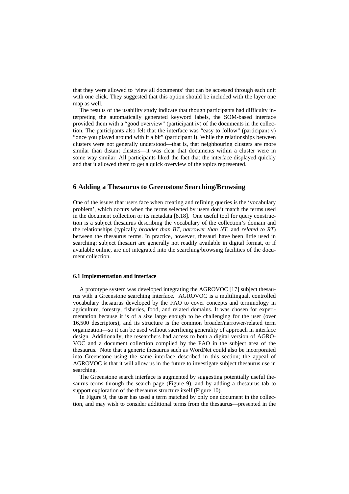that they were allowed to 'view all documents' that can be accessed through each unit with one click. They suggested that this option should be included with the layer one map as well.

The results of the usability study indicate that though participants had difficulty interpreting the automatically generated keyword labels, the SOM-based interface provided them with a "good overview" (participant iv) of the documents in the collection. The participants also felt that the interface was "easy to follow" (participant v) "once you played around with it a bit" (participant i). While the relationships between clusters were not generally understood—that is, that neighbouring clusters are more similar than distant clusters—it was clear that documents within a cluster were in some way similar. All participants liked the fact that the interface displayed quickly and that it allowed them to get a quick overview of the topics represented.

# **6 Adding a Thesaurus to Greenstone Searching/Browsing**

One of the issues that users face when creating and refining queries is the 'vocabulary problem', which occurs when the terms selected by users don't match the terms used in the document collection or its metadata [8,18]. One useful tool for query construction is a subject thesaurus describing the vocabulary of the collection's domain and the relationships (typically *broader than BT*, *narrower than NT*, and *related to RT*) between the thesaurus terms. In practice, however, thesauri have been little used in searching; subject thesauri are generally not readily available in digital format, or if available online, are not integrated into the searching/browsing facilities of the document collection.

#### **6.1 Implementation and interface**

A prototype system was developed integrating the AGROVOC [17] subject thesaurus with a Greenstone searching interface. AGROVOC is a multilingual, controlled vocabulary thesaurus developed by the FAO to cover concepts and terminology in agriculture, forestry, fisheries, food, and related domains. It was chosen for experimentation because it is of a size large enough to be challenging for the user (over 16,500 descriptors), and its structure is the common broader/narrower/related term organization—so it can be used without sacrificing generality of approach in interface design. Additionally, the researchers had access to both a digital version of AGRO-VOC and a document collection compiled by the FAO in the subject area of the thesaurus. Note that a generic thesaurus such as WordNet could also be incorporated into Greenstone using the same interface described in this section; the appeal of AGROVOC is that it will allow us in the future to investigate subject thesaurus use in searching.

The Greenstone search interface is augmented by suggesting potentially useful thesaurus terms through the search page (Figure 9), and by adding a thesaurus tab to support exploration of the thesaurus structure itself (Figure 10).

In Figure 9, the user has used a term matched by only one document in the collection, and may wish to consider additional terms from the thesaurus—presented in the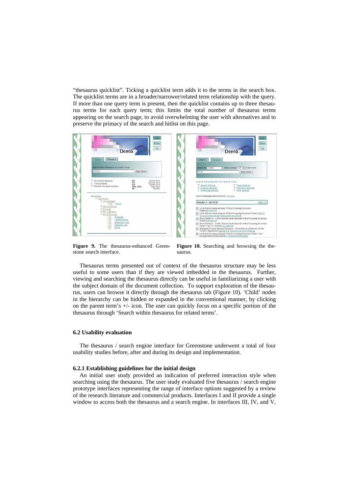"thesaurus quicklist". Ticking a quicklist term adds it to the terms in the search box. The quicklist terms are in a broader/narrower/related term relationship with the query. If more than one query term is present, then the quicklist contains up to three thesaurus terms for each query term; this limits the total number of thesaurus terms appearing on the search page, to avoid overwhelming the user with alternatives and to preserve the primacy of the search and hitlist on this page.

![](_page_19_Picture_1.jpeg)

**Figure 9.** The thesaurus-enhanced Greenstone search interface.

Figure 10. Searching and browsing the thesaurus.

Thesaurus terms presented out of context of the thesaurus structure may be less useful to some users than if they are viewed imbedded in the thesaurus. Further, viewing and searching the thesaurus directly can be useful in familiarizing a user with the subject domain of the document collection. To support exploration of the thesaurus, users can browse it directly through the thesaurus tab (Figure 10). 'Child' nodes in the hierarchy can be hidden or expanded in the conventional manner, by clicking on the parent term's  $+/-$  icon. The user can quickly focus on a specific portion of the thesaurus through 'Search within thesaurus for related terms'.

### **6.2 Usability evaluation**

The thesaurus / search engine interface for Greenstone underwent a total of four usability studies before, after and during its design and implementation.

#### **6.2.1 Establishing guidelines for the initial design**

An initial user study provided an indication of preferred interaction style when searching using the thesaurus. The user study evaluated five thesaurus / search engine prototype interfaces representing the range of interface options suggested by a review of the research literature and commercial products. Interfaces I and II provide a single window to access both the thesaurus and a search engine. In interfaces III, IV, and V,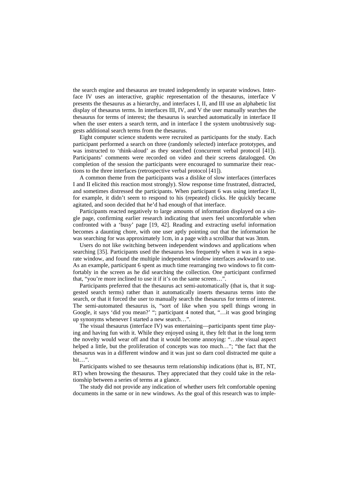the search engine and thesaurus are treated independently in separate windows. Interface IV uses an interactive, graphic representation of the thesaurus, interface V presents the thesaurus as a hierarchy, and interfaces I, II, and III use an alphabetic list display of thesaurus terms. In interfaces III, IV, and V the user manually searches the thesaurus for terms of interest; the thesaurus is searched automatically in interface II when the user enters a search term, and in interface I the system unobtrusively suggests additional search terms from the thesaurus.

Eight computer science students were recruited as participants for the study. Each participant performed a search on three (randomly selected) interface prototypes, and was instructed to 'think-aloud' as they searched (concurrent verbal protocol [41]). Participants' comments were recorded on video and their screens datalogged. On completion of the session the participants were encouraged to summarize their reactions to the three interfaces (retrospective verbal protocol [41]).

A common theme from the participants was a dislike of slow interfaces (interfaces I and II elicited this reaction most strongly). Slow response time frustrated, distracted, and sometimes distressed the participants. When participant 6 was using interface II, for example, it didn't seem to respond to his (repeated) clicks. He quickly became agitated, and soon decided that he'd had enough of that interface.

Participants reacted negatively to large amounts of information displayed on a single page, confirming earlier research indicating that users feel uncomfortable when confronted with a 'busy' page [19, 42]. Reading and extracting useful information becomes a daunting chore, with one user aptly pointing out that the information he was searching for was approximately 1cm, in a page with a scrollbar that was 3mm.

Users do not like switching between independent windows and applications when searching [35]. Participants used the thesaurus less frequently when it was in a separate window, and found the multiple independent window interfaces awkward to use. As an example, participant 6 spent as much time rearranging two windows to fit comfortably in the screen as he did searching the collection. One participant confirmed that, "you're more inclined to use it if it's on the same screen…".

Participants preferred that the thesaurus act semi-automatically (that is, that it suggested search terms) rather than it automatically inserts thesaurus terms into the search, or that it forced the user to manually search the thesaurus for terms of interest. The semi-automated thesaurus is, "sort of like when you spell things wrong in Google, it says 'did you mean?' "; participant 4 noted that, "…it was good bringing up synonyms whenever I started a new search…".

The visual thesaurus (interface IV) was entertaining—participants spent time playing and having fun with it. While they enjoyed using it, they felt that in the long term the novelty would wear off and that it would become annoying: "…the visual aspect helped a little, but the proliferation of concepts was too much…"; "the fact that the thesaurus was in a different window and it was just so darn cool distracted me quite a bit…".

Participants wished to see thesaurus term relationship indications (that is, BT, NT, RT) when browsing the thesaurus. They appreciated that they could take in the relationship between a series of terms at a glance.

The study did not provide any indication of whether users felt comfortable opening documents in the same or in new windows. As the goal of this research was to imple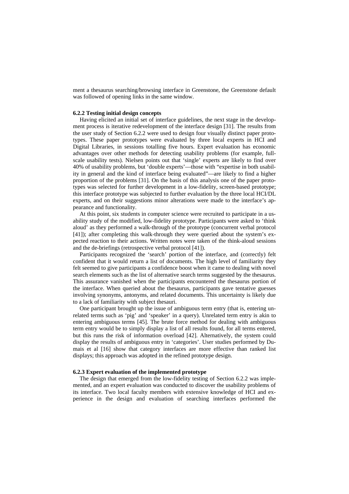ment a thesaurus searching/browsing interface in Greenstone, the Greenstone default was followed of opening links in the same window.

### **6.2.2 Testing initial design concepts**

Having elicited an initial set of interface guidelines, the next stage in the development process is iterative redevelopment of the interface design [31]. The results from the user study of Section 6.2.2 were used to design four visually distinct paper prototypes. These paper prototypes were evaluated by three local experts in HCI and Digital Libraries, in sessions totalling five hours. Expert evaluation has economic advantages over other methods for detecting usability problems (for example, fullscale usability tests). Nielsen points out that 'single' experts are likely to find over 40% of usability problems, but 'double experts'—those with "expertise in both usability in general and the kind of interface being evaluated"—are likely to find a higher proportion of the problems [31]. On the basis of this analysis one of the paper prototypes was selected for further development in a low-fidelity, screen-based prototype; this interface prototype was subjected to further evaluation by the three local HCI/DL experts, and on their suggestions minor alterations were made to the interface's appearance and functionality.

At this point, six students in computer science were recruited to participate in a usability study of the modified, low-fidelity prototype. Participants were asked to 'think aloud' as they performed a walk-through of the prototype (concurrent verbal protocol [41]); after completing this walk-through they were queried about the system's expected reaction to their actions. Written notes were taken of the think-aloud sessions and the de-briefings (retrospective verbal protocol [41]).

Participants recognized the 'search' portion of the interface, and (correctly) felt confident that it would return a list of documents. The high level of familiarity they felt seemed to give participants a confidence boost when it came to dealing with novel search elements such as the list of alternative search terms suggested by the thesaurus. This assurance vanished when the participants encountered the thesaurus portion of the interface. When queried about the thesaurus, participants gave tentative guesses involving synonyms, antonyms, and related documents. This uncertainty is likely due to a lack of familiarity with subject thesauri.

One participant brought up the issue of ambiguous term entry (that is, entering unrelated terms such as 'pig' and 'speaker' in a query). Unrelated term entry is akin to entering ambiguous terms [45]. The brute force method for dealing with ambiguous term entry would be to simply display a list of all results found, for all terms entered, but this runs the risk of information overload [42]. Alternatively, the system could display the results of ambiguous entry in 'categories'. User studies performed by Dumais et al [16] show that category interfaces are more effective than ranked list displays; this approach was adopted in the refined prototype design.

#### **6.2.3 Expert evaluation of the implemented prototype**

The design that emerged from the low-fidelity testing of Section 6.2.2 was implemented, and an expert evaluation was conducted to discover the usability problems of its interface. Two local faculty members with extensive knowledge of HCI and experience in the design and evaluation of searching interfaces performed the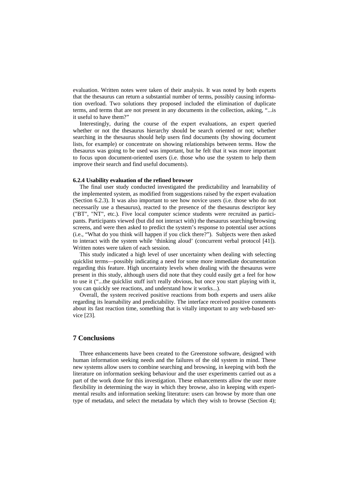evaluation. Written notes were taken of their analysis. It was noted by both experts that the thesaurus can return a substantial number of terms, possibly causing information overload. Two solutions they proposed included the elimination of duplicate terms, and terms that are not present in any documents in the collection, asking, "...is it useful to have them?"

Interestingly, during the course of the expert evaluations, an expert queried whether or not the thesaurus hierarchy should be search oriented or not; whether searching in the thesaurus should help users find documents (by showing document lists, for example) or concentrate on showing relationships between terms. How the thesaurus was going to be used was important, but he felt that it was more important to focus upon document-oriented users (i.e. those who use the system to help them improve their search and find useful documents).

#### **6.2.4 Usability evaluation of the refined browser**

The final user study conducted investigated the predictability and learnability of the implemented system, as modified from suggestions raised by the expert evaluation (Section 6.2.3). It was also important to see how novice users (i.e. those who do not necessarily use a thesaurus), reacted to the presence of the thesaurus descriptor key ("BT", "NT", etc.). Five local computer science students were recruited as participants. Participants viewed (but did not interact with) the thesaurus searching/browsing screens, and were then asked to predict the system's response to potential user actions (i.e., "What do you think will happen if you click there?"). Subjects were then asked to interact with the system while 'thinking aloud' (concurrent verbal protocol [41]). Written notes were taken of each session.

This study indicated a high level of user uncertainty when dealing with selecting quicklist terms—possibly indicating a need for some more immediate documentation regarding this feature. High uncertainty levels when dealing with the thesaurus were present in this study, although users did note that they could easily get a feel for how to use it ("...the quicklist stuff isn't really obvious, but once you start playing with it, you can quickly see reactions, and understand how it works...).

Overall, the system received positive reactions from both experts and users alike regarding its learnability and predictability. The interface received positive comments about its fast reaction time, something that is vitally important to any web-based service [23].

# **7 Conclusions**

Three enhancements have been created to the Greenstone software, designed with human information seeking needs and the failures of the old system in mind. These new systems allow users to combine searching and browsing, in keeping with both the literature on information seeking behaviour and the user experiments carried out as a part of the work done for this investigation. These enhancements allow the user more flexibility in determining the way in which they browse, also in keeping with experimental results and information seeking literature: users can browse by more than one type of metadata, and select the metadata by which they wish to browse (Section 4);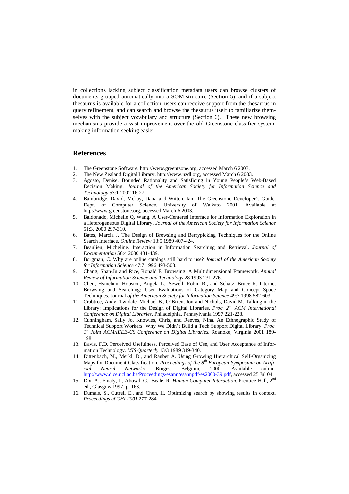in collections lacking subject classification metadata users can browse clusters of documents grouped automatically into a SOM structure (Section 5); and if a subject thesaurus is available for a collection, users can receive support from the thesaurus in query refinement, and can search and browse the thesaurus itself to familiarize themselves with the subject vocabulary and structure (Section 6). These new browsing mechanisms provide a vast improvement over the old Greenstone classifier system, making information seeking easier.

# **References**

- 1. The Greenstone Software. http://www.greentsone.org, accessed March 6 2003.
- 2. The New Zealand Digital Library. http://www.nzdl.org, accessed March 6 2003.
- 3. Agosto, Denise. Bounded Rationality and Satisficing in Young People's Web-Based Decision Making. *Journal of the American Society for Information Science and Technology* 53:1 2002 16-27.
- 4. Bainbridge, David, Mckay, Dana and Witten, Ian. The Greenstone Developer's Guide. Dept. of Computer Science, University of Waikato 2001. Available at http://www.greenstone.org, accessed March 6 2003.
- 5. Baldonado, Michelle Q. Wang. A User-Centered Interface for Information Exploration in a Heterogeneous Digital Library. *Journal of the American Society for Information Science* 51:3, 2000 297-310.
- 6. Bates, Marcia J. The Design of Browsing and Berrypicking Techniques for the Online Search Interface. *Online Review* 13:5 1989 407-424.
- 7. Beaulieu, Micheline. Interaction in Information Searching and Retrieval. *Journal of Documentation* 56:4 2000 431-439.
- 8. Borgman, C. Why are online catalogs still hard to use? *Journal of the American Society for Information Science* 47:7 1996 493-503.
- 9. Chang, Shan-Ju and Rice, Ronald E. Browsing: A Multidimensional Framework. *Annual Review of Information Science and Technology* 28 1993 231-276.
- 10. Chen, Hsinchun, Houston, Angela L., Sewell, Robin R., and Schatz, Bruce R. Internet Browsing and Searching: User Evaluations of Category Map and Concept Space Techniques. Journal *of the American Society for Information Science* 49:7 1998 582-603.
- 11. Crabtree, Andy, Twidale, Michael B., O'Brien, Jon and Nichols, David M. Talking in the Library: Implications for the Design of Digital Libraries. *Proc. 2nd ACM International Conference on Digital Libraries*, Philadelphia, Pennsylvania 1997 221-228.
- 12. Cunningham, Sally Jo, Knowles, Chris, and Reeves, Nina. An Ethnographic Study of Technical Support Workers: Why We Didn't Build a Tech Support Digital Library. *Proc. 1st Joint ACM/IEEE-CS Conference on Digital Libraries*. Roanoke, Virginia 2001 189- 198.
- 13. Davis, F.D. Perceived Usefulness, Perceived Ease of Use, and User Acceptance of Information Technology. *MIS Quarterly* 13/3 1989 319-340.
- 14. Dittenbach, M., Merkl, D., and Rauber A. Using Growing Hierarchical Self-Organizing Maps for Document Classification. *Proceedings of the 8<sup>th</sup> European Symposium on Artificial Neural Networks*. Bruges, Belgium, 2000. Available online: [http://www.dice.ucl.ac.be/Proceedings/esann/esannpdf/es2000-39.pdf,](http://www.dice.ucl.ac.be/Proceedings/esann/esannpdf/es2000-39.pdf) accessed 25 Jul 04.
- 15. Dix, A., Finaly, J., Abowd, G., Beale, R. *Human-Computer Interaction*. Prentice-Hall, 2nd ed., Glasgow 1997, p. 163.
- 16. Dumais, S., Cutrell E., and Chen, H. Optimizing search by showing results in context. *Proceedings of CHI 2001* 277-284.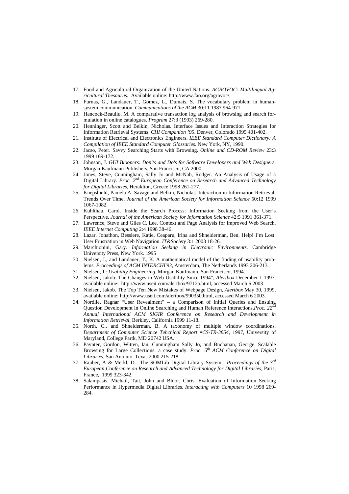- 17. Food and Agricultural Organization of the United Nations. *AGROVOC: Multilingual Agricultural Thesaurus.* Available online: http://www.fao.org/agrovoc/.
- 18. Furnas, G., Landauer, T., Gomez, L., Dumais, S. The vocabulary problem in humansystem communication. *Communications of the ACM* 30:11 1987 964-971.
- 19. Hancock-Beauliu, M. A comparative transaction log analysis of browsing and search formulation in online catalogues. *Program* 27:3 (1993) 269-280.
- 20. Henninger, Scott and Belkin, Nicholas. Interface Issues and Interaction Strategies for Information Retrieval Systems. *CHI Companion '95*. Denver, Colorado 1995 401-402.
- 21. Institute of Electrical and Electronics Engineers. *IEEE Standard Computer Dictionary: A Compilation of IEEE Standard Computer Glossaries*. New York, NY, 1990.
- 22. Jacso, Peter. Savvy Searching Starts with Browsing. *Online and CD-ROM Review* 23:3 1999 169-172.
- 23. Johnson, J. *GUI Bloopers: Don'ts and Do's for Software Developers and Web Designers*. Morgan Kaufmann Publishers, San Francisco, CA 2000.
- 24. Jones, Steve, Cunningham, Sally Jo and McNab, Rodger. An Analysis of Usage of a Digital Library. *Proc. 2nd European Conference on Research and Advanced Technology for Digital Libraries*, Heraklion, Greece 1998 261-277.
- 25. Knepshield, Pamela A. Savage and Belkin, Nicholas. Interaction in Information Retrieval: Trends Over Time. *Journal of the American Society for Information Science* 50:12 1999 1067-1082.
- 26. Kuhlthau, Carol. Inside the Search Process: Information Seeking from the User's Perspective. *Journal of the American Society for Information Science* 42:5 1991 361-371.
- 27. Lawrence, Steve and Giles C. Lee. Context and Page Analysis for Improved Web Search, *IEEE Internet Computing* 2:4 1998 38-46.
- 28. Lazar, Jonathon, Bessiere, Katie, Ceaparu, Irina and Shneiderman, Ben. Help! I'm Lost: User Frustration in Web Navigation. *IT&Society* 3:1 2003 18-26.
- 29. Marchionini, Gary. *Information Seeking in Electronic Environments*. Cambridge University Press, New York. 1995
- 30. Nielsen, J., and Landauer, T., K. A mathematical model of the finding of usability problems. *Proceedings of ACM INTERCHI'93*, Amsterdam, The Netherlands 1993 206-213.
- 31. Nielsen, J.: *Usability Engineering*. Morgan Kaufmann, San Francisco, 1994.
- 32. Nielsen, Jakob. The Changes in Web Usability Since 1994", *Alertbox* December 1 1997, available online: http://www.useit.com/alertbox/9712a.html, accessed March 6 2003
- 33. Nielsen, Jakob. The Top Ten New Mistakes of Webpage Design, *Alertbox* May 30, 1999, available online: http://www.useit.com/alertbox/990350.html, accessed March 6 2003.
- 34. Nordlie, Ragnar "User Revealment" a Comparison of Initial Queries and Ensuing Question Development in Online Searching and Human Reference Interactions.*Proc.* 22<sup>nd</sup> *Annual International ACM SIGIR Conference on Research and Development in Information Retrieval*, Berkley, California 1999 11-18.
- 35. North, C., and Shneiderman, B. A taxonomy of multiple window coordinations. *Department of Computer Science Tehcnical Report #CS-TR-3854*, 1997, University of Maryland, College Partk, MD 20742 USA.
- 36. Paynter, Gordon, Witten, Ian, Cunningham Sally Jo, and Buchanan, George. Scalable Browsing for Large Collections: a case study. *Proc. 5th ACM Conference on Digital Libraries*, San Antonio, Texas 2000 215-218.
- 37. Rauber, A & Merkl, D. The SOMLib Digital Library System. *Proceedings of the 3rd European Conference on Research and Advanced Technology for Digital Libraries*, Paris, France, 1999 323-342.
- 38. Salampasis, Michail, Tait, John and Bloor, Chris. Evaluation of Information Seeking Performance in Hypermedia Digital Libraries. *Interacting with Computers* 10 1998 269- 284.